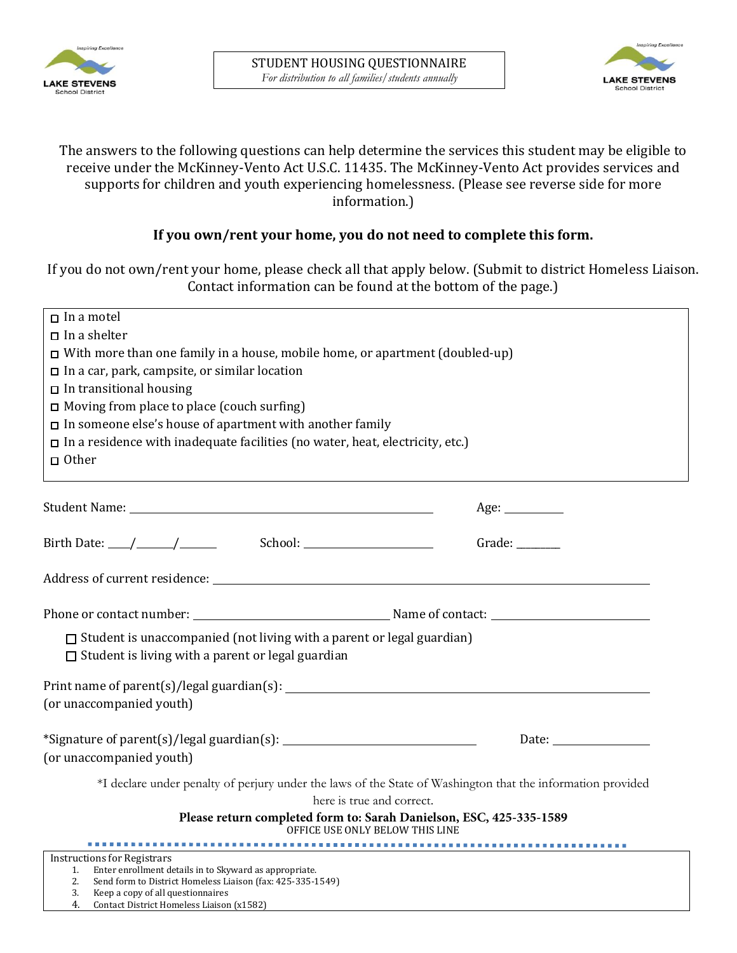



## The answers to the following questions can help determine the services this student may be eligible to receive under the McKinney-Vento Act U.S.C. 11435. The McKinney-Vento Act provides services and supports for children and youth experiencing homelessness. (Please see reverse side for more information.)

# **If you own/rent your home, you do not need to complete this form.**

 If you do not own/rent your home, please check all that apply below. (Submit to district Homeless Liaison. Contact information can be found at the bottom of the page.)

| $\Box$ In a motel                                                                                                                                                                                                                                                                                                                                                                                                |  |                                           |             |
|------------------------------------------------------------------------------------------------------------------------------------------------------------------------------------------------------------------------------------------------------------------------------------------------------------------------------------------------------------------------------------------------------------------|--|-------------------------------------------|-------------|
| In a shelter<br>$\Box$ With more than one family in a house, mobile home, or apartment (doubled-up)<br>$\Box$ In a car, park, campsite, or similar location<br>$\Box$ In transitional housing<br>$\Box$ Moving from place to place (couch surfing)<br>$\square$ In someone else's house of apartment with another family<br>$\Box$ In a residence with inadequate facilities (no water, heat, electricity, etc.) |  |                                           |             |
|                                                                                                                                                                                                                                                                                                                                                                                                                  |  | $\Box$ Other                              |             |
|                                                                                                                                                                                                                                                                                                                                                                                                                  |  |                                           |             |
|                                                                                                                                                                                                                                                                                                                                                                                                                  |  |                                           | Age: $\_\_$ |
|                                                                                                                                                                                                                                                                                                                                                                                                                  |  | Birth Date: $\angle$ / $\angle$ / School: | Grade:      |
|                                                                                                                                                                                                                                                                                                                                                                                                                  |  |                                           |             |
|                                                                                                                                                                                                                                                                                                                                                                                                                  |  |                                           |             |
| $\Box$ Student is unaccompanied (not living with a parent or legal guardian)<br>$\Box$ Student is living with a parent or legal guardian                                                                                                                                                                                                                                                                         |  |                                           |             |
|                                                                                                                                                                                                                                                                                                                                                                                                                  |  |                                           |             |
| (or unaccompanied youth)                                                                                                                                                                                                                                                                                                                                                                                         |  |                                           |             |
|                                                                                                                                                                                                                                                                                                                                                                                                                  |  |                                           |             |
| (or unaccompanied youth)                                                                                                                                                                                                                                                                                                                                                                                         |  |                                           |             |
| *I declare under penalty of perjury under the laws of the State of Washington that the information provided<br>here is true and correct.                                                                                                                                                                                                                                                                         |  |                                           |             |
| Please return completed form to: Sarah Danielson, ESC, 425-335-1589<br>OFFICE USE ONLY BELOW THIS LINE                                                                                                                                                                                                                                                                                                           |  |                                           |             |
|                                                                                                                                                                                                                                                                                                                                                                                                                  |  |                                           |             |
| <b>Instructions for Registrars</b><br>Enter enrollment details in to Skyward as appropriate.<br>1.                                                                                                                                                                                                                                                                                                               |  |                                           |             |
| 2.<br>Send form to District Homeless Liaison (fax: 425-335-1549)                                                                                                                                                                                                                                                                                                                                                 |  |                                           |             |
| 3.<br>Keep a copy of all questionnaires<br>4.<br>Contact District Homeless Liaison (x1582)                                                                                                                                                                                                                                                                                                                       |  |                                           |             |
|                                                                                                                                                                                                                                                                                                                                                                                                                  |  |                                           |             |